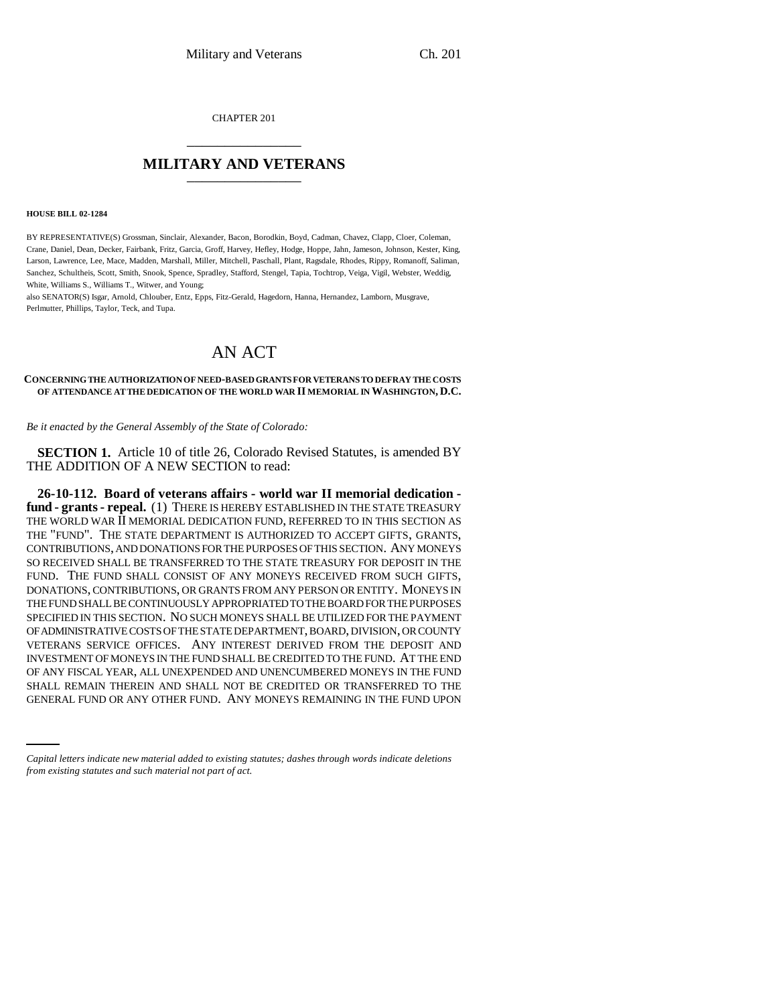CHAPTER 201 \_\_\_\_\_\_\_\_\_\_\_\_\_\_\_

## **MILITARY AND VETERANS** \_\_\_\_\_\_\_\_\_\_\_\_\_\_\_

#### **HOUSE BILL 02-1284**

BY REPRESENTATIVE(S) Grossman, Sinclair, Alexander, Bacon, Borodkin, Boyd, Cadman, Chavez, Clapp, Cloer, Coleman, Crane, Daniel, Dean, Decker, Fairbank, Fritz, Garcia, Groff, Harvey, Hefley, Hodge, Hoppe, Jahn, Jameson, Johnson, Kester, King, Larson, Lawrence, Lee, Mace, Madden, Marshall, Miller, Mitchell, Paschall, Plant, Ragsdale, Rhodes, Rippy, Romanoff, Saliman, Sanchez, Schultheis, Scott, Smith, Snook, Spence, Spradley, Stafford, Stengel, Tapia, Tochtrop, Veiga, Vigil, Webster, Weddig, White, Williams S., Williams T., Witwer, and Young;

also SENATOR(S) Isgar, Arnold, Chlouber, Entz, Epps, Fitz-Gerald, Hagedorn, Hanna, Hernandez, Lamborn, Musgrave, Perlmutter, Phillips, Taylor, Teck, and Tupa.

# AN ACT

### **CONCERNING THE AUTHORIZATION OF NEED-BASED GRANTS FOR VETERANS TO DEFRAY THE COSTS OF ATTENDANCE AT THE DEDICATION OF THE WORLD WAR II MEMORIAL IN WASHINGTON, D.C.**

*Be it enacted by the General Assembly of the State of Colorado:*

**SECTION 1.** Article 10 of title 26, Colorado Revised Statutes, is amended BY THE ADDITION OF A NEW SECTION to read:

OF ANY FISCAL YEAR, ALL UNEXPENDED AND UNENCUMBERED MONEYS IN THE FUND<br>SHALL REMAIN THEREIN AND SHALL NOT BE CREDITED OR TRANSFERRED TO THE **26-10-112. Board of veterans affairs - world war II memorial dedication fund - grants - repeal.** (1) THERE IS HEREBY ESTABLISHED IN THE STATE TREASURY THE WORLD WAR II MEMORIAL DEDICATION FUND, REFERRED TO IN THIS SECTION AS THE "FUND". THE STATE DEPARTMENT IS AUTHORIZED TO ACCEPT GIFTS, GRANTS, CONTRIBUTIONS, AND DONATIONS FOR THE PURPOSES OF THIS SECTION. ANY MONEYS SO RECEIVED SHALL BE TRANSFERRED TO THE STATE TREASURY FOR DEPOSIT IN THE FUND. THE FUND SHALL CONSIST OF ANY MONEYS RECEIVED FROM SUCH GIFTS, DONATIONS, CONTRIBUTIONS, OR GRANTS FROM ANY PERSON OR ENTITY. MONEYS IN THE FUND SHALL BE CONTINUOUSLY APPROPRIATED TO THE BOARD FOR THE PURPOSES SPECIFIED IN THIS SECTION. NO SUCH MONEYS SHALL BE UTILIZED FOR THE PAYMENT OF ADMINISTRATIVE COSTS OF THE STATE DEPARTMENT, BOARD, DIVISION, OR COUNTY VETERANS SERVICE OFFICES. ANY INTEREST DERIVED FROM THE DEPOSIT AND INVESTMENT OF MONEYS IN THE FUND SHALL BE CREDITED TO THE FUND. AT THE END OF ANY FISCAL YEAR, ALL UNEXPENDED AND UNENCUMBERED MONEYS IN THE FUND GENERAL FUND OR ANY OTHER FUND. ANY MONEYS REMAINING IN THE FUND UPON

*Capital letters indicate new material added to existing statutes; dashes through words indicate deletions from existing statutes and such material not part of act.*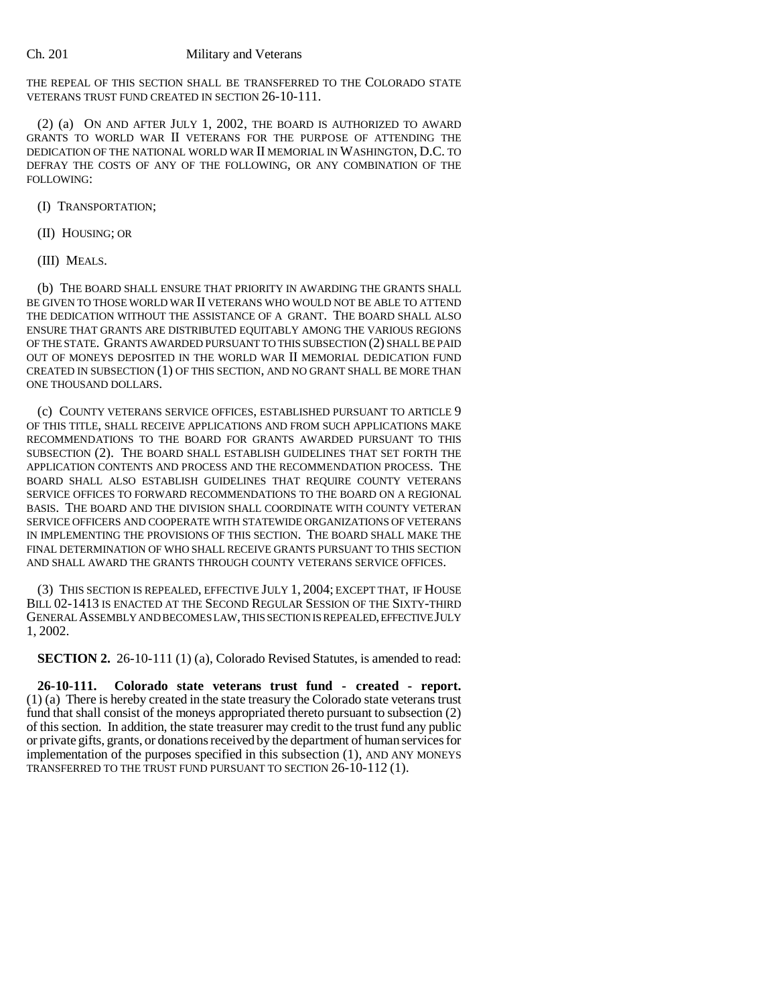THE REPEAL OF THIS SECTION SHALL BE TRANSFERRED TO THE COLORADO STATE VETERANS TRUST FUND CREATED IN SECTION 26-10-111.

(2) (a) ON AND AFTER JULY 1, 2002, THE BOARD IS AUTHORIZED TO AWARD GRANTS TO WORLD WAR II VETERANS FOR THE PURPOSE OF ATTENDING THE DEDICATION OF THE NATIONAL WORLD WAR II MEMORIAL IN WASHINGTON, D.C. TO DEFRAY THE COSTS OF ANY OF THE FOLLOWING, OR ANY COMBINATION OF THE FOLLOWING:

(I) TRANSPORTATION;

(II) HOUSING; OR

(III) MEALS.

(b) THE BOARD SHALL ENSURE THAT PRIORITY IN AWARDING THE GRANTS SHALL BE GIVEN TO THOSE WORLD WAR II VETERANS WHO WOULD NOT BE ABLE TO ATTEND THE DEDICATION WITHOUT THE ASSISTANCE OF A GRANT. THE BOARD SHALL ALSO ENSURE THAT GRANTS ARE DISTRIBUTED EQUITABLY AMONG THE VARIOUS REGIONS OF THE STATE. GRANTS AWARDED PURSUANT TO THIS SUBSECTION (2) SHALL BE PAID OUT OF MONEYS DEPOSITED IN THE WORLD WAR II MEMORIAL DEDICATION FUND CREATED IN SUBSECTION (1) OF THIS SECTION, AND NO GRANT SHALL BE MORE THAN ONE THOUSAND DOLLARS.

(c) COUNTY VETERANS SERVICE OFFICES, ESTABLISHED PURSUANT TO ARTICLE 9 OF THIS TITLE, SHALL RECEIVE APPLICATIONS AND FROM SUCH APPLICATIONS MAKE RECOMMENDATIONS TO THE BOARD FOR GRANTS AWARDED PURSUANT TO THIS SUBSECTION (2). THE BOARD SHALL ESTABLISH GUIDELINES THAT SET FORTH THE APPLICATION CONTENTS AND PROCESS AND THE RECOMMENDATION PROCESS. THE BOARD SHALL ALSO ESTABLISH GUIDELINES THAT REQUIRE COUNTY VETERANS SERVICE OFFICES TO FORWARD RECOMMENDATIONS TO THE BOARD ON A REGIONAL BASIS. THE BOARD AND THE DIVISION SHALL COORDINATE WITH COUNTY VETERAN SERVICE OFFICERS AND COOPERATE WITH STATEWIDE ORGANIZATIONS OF VETERANS IN IMPLEMENTING THE PROVISIONS OF THIS SECTION. THE BOARD SHALL MAKE THE FINAL DETERMINATION OF WHO SHALL RECEIVE GRANTS PURSUANT TO THIS SECTION AND SHALL AWARD THE GRANTS THROUGH COUNTY VETERANS SERVICE OFFICES.

(3) THIS SECTION IS REPEALED, EFFECTIVE JULY 1, 2004; EXCEPT THAT, IF HOUSE BILL 02-1413 IS ENACTED AT THE SECOND REGULAR SESSION OF THE SIXTY-THIRD GENERAL ASSEMBLY AND BECOMES LAW, THIS SECTION IS REPEALED, EFFECTIVE JULY 1, 2002.

**SECTION 2.** 26-10-111 (1) (a), Colorado Revised Statutes, is amended to read:

**26-10-111. Colorado state veterans trust fund - created - report.** (1) (a) There is hereby created in the state treasury the Colorado state veterans trust fund that shall consist of the moneys appropriated thereto pursuant to subsection (2) of this section. In addition, the state treasurer may credit to the trust fund any public or private gifts, grants, or donations received by the department of human services for implementation of the purposes specified in this subsection (1), AND ANY MONEYS TRANSFERRED TO THE TRUST FUND PURSUANT TO SECTION 26-10-112 (1).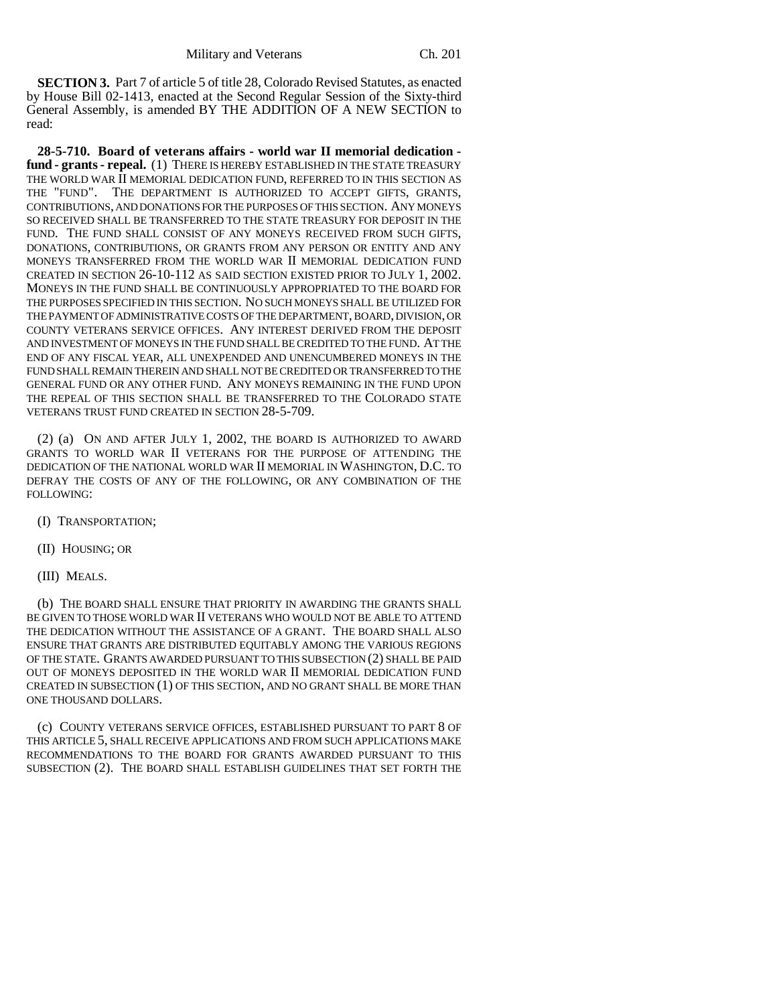**SECTION 3.** Part 7 of article 5 of title 28, Colorado Revised Statutes, as enacted by House Bill 02-1413, enacted at the Second Regular Session of the Sixty-third General Assembly, is amended BY THE ADDITION OF A NEW SECTION to read:

**28-5-710. Board of veterans affairs - world war II memorial dedication fund - grants - repeal.** (1) THERE IS HEREBY ESTABLISHED IN THE STATE TREASURY THE WORLD WAR II MEMORIAL DEDICATION FUND, REFERRED TO IN THIS SECTION AS THE "FUND". THE DEPARTMENT IS AUTHORIZED TO ACCEPT GIFTS, GRANTS, CONTRIBUTIONS, AND DONATIONS FOR THE PURPOSES OF THIS SECTION. ANY MONEYS SO RECEIVED SHALL BE TRANSFERRED TO THE STATE TREASURY FOR DEPOSIT IN THE FUND. THE FUND SHALL CONSIST OF ANY MONEYS RECEIVED FROM SUCH GIFTS, DONATIONS, CONTRIBUTIONS, OR GRANTS FROM ANY PERSON OR ENTITY AND ANY MONEYS TRANSFERRED FROM THE WORLD WAR II MEMORIAL DEDICATION FUND CREATED IN SECTION 26-10-112 AS SAID SECTION EXISTED PRIOR TO JULY 1, 2002. MONEYS IN THE FUND SHALL BE CONTINUOUSLY APPROPRIATED TO THE BOARD FOR THE PURPOSES SPECIFIED IN THIS SECTION. NO SUCH MONEYS SHALL BE UTILIZED FOR THE PAYMENT OF ADMINISTRATIVE COSTS OF THE DEPARTMENT, BOARD, DIVISION, OR COUNTY VETERANS SERVICE OFFICES. ANY INTEREST DERIVED FROM THE DEPOSIT AND INVESTMENT OF MONEYS IN THE FUND SHALL BE CREDITED TO THE FUND. AT THE END OF ANY FISCAL YEAR, ALL UNEXPENDED AND UNENCUMBERED MONEYS IN THE FUND SHALL REMAIN THEREIN AND SHALL NOT BE CREDITED OR TRANSFERRED TO THE GENERAL FUND OR ANY OTHER FUND. ANY MONEYS REMAINING IN THE FUND UPON THE REPEAL OF THIS SECTION SHALL BE TRANSFERRED TO THE COLORADO STATE VETERANS TRUST FUND CREATED IN SECTION 28-5-709.

(2) (a) ON AND AFTER JULY 1, 2002, THE BOARD IS AUTHORIZED TO AWARD GRANTS TO WORLD WAR II VETERANS FOR THE PURPOSE OF ATTENDING THE DEDICATION OF THE NATIONAL WORLD WAR II MEMORIAL IN WASHINGTON, D.C. TO DEFRAY THE COSTS OF ANY OF THE FOLLOWING, OR ANY COMBINATION OF THE FOLLOWING:

- (I) TRANSPORTATION;
- (II) HOUSING; OR
- (III) MEALS.

(b) THE BOARD SHALL ENSURE THAT PRIORITY IN AWARDING THE GRANTS SHALL BE GIVEN TO THOSE WORLD WAR II VETERANS WHO WOULD NOT BE ABLE TO ATTEND THE DEDICATION WITHOUT THE ASSISTANCE OF A GRANT. THE BOARD SHALL ALSO ENSURE THAT GRANTS ARE DISTRIBUTED EQUITABLY AMONG THE VARIOUS REGIONS OF THE STATE. GRANTS AWARDED PURSUANT TO THIS SUBSECTION (2) SHALL BE PAID OUT OF MONEYS DEPOSITED IN THE WORLD WAR II MEMORIAL DEDICATION FUND CREATED IN SUBSECTION (1) OF THIS SECTION, AND NO GRANT SHALL BE MORE THAN ONE THOUSAND DOLLARS.

(c) COUNTY VETERANS SERVICE OFFICES, ESTABLISHED PURSUANT TO PART 8 OF THIS ARTICLE 5, SHALL RECEIVE APPLICATIONS AND FROM SUCH APPLICATIONS MAKE RECOMMENDATIONS TO THE BOARD FOR GRANTS AWARDED PURSUANT TO THIS SUBSECTION (2). THE BOARD SHALL ESTABLISH GUIDELINES THAT SET FORTH THE